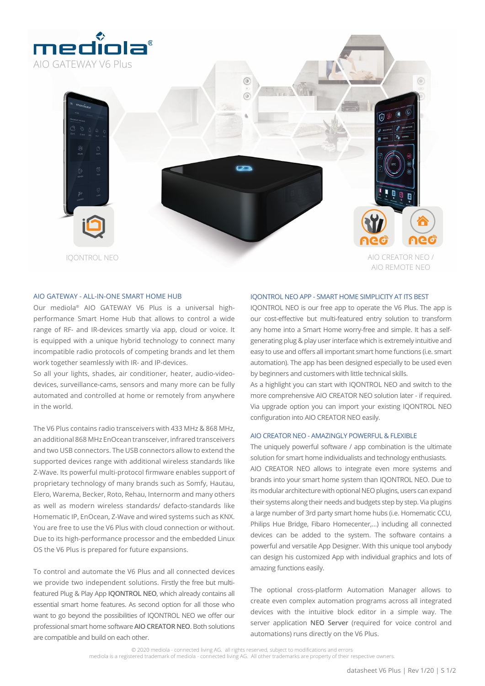

6 6 IQONTROL NEO AIO CREATOR NEO /

## AIO GATEWAY - ALL-IN-ONE SMART HOME HUB

Our mediola® AIO GATEWAY V6 Plus is a universal highperformance Smart Home Hub that allows to control a wide range of RF- and IR-devices smartly via app, cloud or voice. It is equipped with a unique hybrid technology to connect many incompatible radio protocols of competing brands and let them work together seamlessly with IR- and IP-devices.

So all your lights, shades, air conditioner, heater, audio-videodevices, surveillance-cams, sensors and many more can be fully automated and controlled at home or remotely from anywhere in the world.

The V6 Plus contains radio transceivers with 433 MHz & 868 MHz, an additional 868 MHz EnOcean transceiver, infrared transceivers and two USB connectors. The USB connectors allow to extend the supported devices range with additional wireless standards like Z-Wave. Its powerful multi-protocol firmware enables support of proprietary technology of many brands such as Somfy, Hautau, Elero, Warema, Becker, Roto, Rehau, Internorm and many others as well as modern wireless standards/ defacto-standards like Homematic IP, EnOcean, Z-Wave and wired systems such as KNX. You are free to use the V6 Plus with cloud connection or without. Due to its high-performance processor and the embedded Linux OS the V6 Plus is prepared for future expansions.

To control and automate the V6 Plus and all connected devices we provide two independent solutions. Firstly the free but multifeatured Plug & Play App **IQONTROL NEO**, which already contains all essential smart home features. As second option for all those who want to go beyond the possibilities of IQONTROL NEO we offer our professional smart home software **AIO CREATOR NEO**. Both solutions are compatible and build on each other.

## IQONTROL NEO APP - SMART HOME SIMPLICITY AT ITS BEST

IQONTROL NEO is our free app to operate the V6 Plus. The app is our cost-effective but multi-featured entry solution to transform any home into a Smart Home worry-free and simple. It has a selfgenerating plug & play user interface which is extremely intuitive and easy to use and offers all important smart home functions (i.e. smart automation). The app has been designed especially to be used even by beginners and customers with little technical skills.

AIO REMOTE NEO

As a highlight you can start with IQONTROL NEO and switch to the more comprehensive AIO CREATOR NEO solution later - if required. Via upgrade option you can import your existing IQONTROL NEO configuration into AIO CREATOR NEO easily.

## AIO CREATOR NEO - AMAZINGLY POWERFUL & FLEXIBLE

The uniquely powerful software / app combination is the ultimate solution for smart home individualists and technology enthusiasts. AIO CREATOR NEO allows to integrate even more systems and brands into your smart home system than IQONTROL NEO. Due to its modular architecture with optional NEO plugins, users can expand their systems along their needs and budgets step by step. Via plugins a large number of 3rd party smart home hubs (i.e. Homematic CCU, Philips Hue Bridge, Fibaro Homecenter,…) including all connected devices can be added to the system. The software contains a powerful and versatile App Designer. With this unique tool anybody can design his customized App with individual graphics and lots of amazing functions easily.

The optional cross-platform Automation Manager allows to create even complex automation programs across all integrated devices with the intuitive block editor in a simple way. The server application **NEO Server** (required for voice control and automations) runs directly on the V6 Plus.

© 2020 mediola - connected living AG. all rights reserved, subject to modifications and errors

mediola is a registered trademark of mediola - connected living AG. All other trademarks are property of their respective owners.